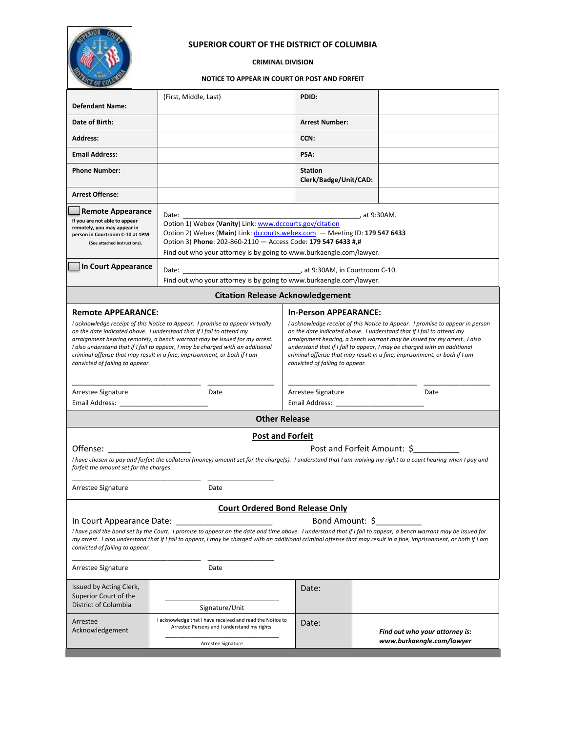

### **SUPERIOR COURT OF THE DISTRICT OF COLUMBIA**

**CRIMINAL DIVISION**

#### **NOTICE TO APPEAR IN COURT OR POST AND FORFEIT**

| <b>Defendant Name:</b>                                                                                                                                                                                                                                                                                                                                                                                                                                               | (First, Middle, Last)                                                                                                           | PDID:                                                                                                                                                                                                                                                                                                                                                                                                                                                          |                                                             |  |
|----------------------------------------------------------------------------------------------------------------------------------------------------------------------------------------------------------------------------------------------------------------------------------------------------------------------------------------------------------------------------------------------------------------------------------------------------------------------|---------------------------------------------------------------------------------------------------------------------------------|----------------------------------------------------------------------------------------------------------------------------------------------------------------------------------------------------------------------------------------------------------------------------------------------------------------------------------------------------------------------------------------------------------------------------------------------------------------|-------------------------------------------------------------|--|
| Date of Birth:                                                                                                                                                                                                                                                                                                                                                                                                                                                       |                                                                                                                                 | <b>Arrest Number:</b>                                                                                                                                                                                                                                                                                                                                                                                                                                          |                                                             |  |
| <b>Address:</b>                                                                                                                                                                                                                                                                                                                                                                                                                                                      |                                                                                                                                 | CCN:                                                                                                                                                                                                                                                                                                                                                                                                                                                           |                                                             |  |
| <b>Email Address:</b>                                                                                                                                                                                                                                                                                                                                                                                                                                                |                                                                                                                                 | PSA:                                                                                                                                                                                                                                                                                                                                                                                                                                                           |                                                             |  |
| <b>Phone Number:</b>                                                                                                                                                                                                                                                                                                                                                                                                                                                 |                                                                                                                                 | <b>Station</b><br>Clerk/Badge/Unit/CAD:                                                                                                                                                                                                                                                                                                                                                                                                                        |                                                             |  |
| <b>Arrest Offense:</b>                                                                                                                                                                                                                                                                                                                                                                                                                                               |                                                                                                                                 |                                                                                                                                                                                                                                                                                                                                                                                                                                                                |                                                             |  |
| <b>Remote Appearance</b><br>Date:<br>If you are not able to appear<br>Option 1) Webex (Vanity) Link: www.dccourts.gov/citation<br>remotely, you may appear in<br>Option 2) Webex (Main) Link: dccourts.webex.com – Meeting ID: 179 547 6433<br>person in Courtroom C-10 at 1PM<br>Option 3) Phone: 202-860-2110 - Access Code: 179 547 6433 #,#<br>(See attached instructions).<br>Find out who your attorney is by going to www.burkaengle.com/lawyer.              |                                                                                                                                 |                                                                                                                                                                                                                                                                                                                                                                                                                                                                |                                                             |  |
| In Court Appearance                                                                                                                                                                                                                                                                                                                                                                                                                                                  |                                                                                                                                 | Date: 2008. [2010] Date: 2010. [2010] at 9:30AM, in Courtroom C-10.<br>Find out who your attorney is by going to www.burkaengle.com/lawyer.                                                                                                                                                                                                                                                                                                                    |                                                             |  |
| <b>Citation Release Acknowledgement</b>                                                                                                                                                                                                                                                                                                                                                                                                                              |                                                                                                                                 |                                                                                                                                                                                                                                                                                                                                                                                                                                                                |                                                             |  |
| <b>Remote APPEARANCE:</b><br>I acknowledge receipt of this Notice to Appear. I promise to appear virtually<br>on the date indicated above. I understand that if I fail to attend my<br>arraignment hearing remotely, a bench warrant may be issued for my arrest.<br>I also understand that if I fail to appear, I may be charged with an additional<br>criminal offense that may result in a fine, imprisonment, or both if I am<br>convicted of failing to appear. |                                                                                                                                 | <b>In-Person APPEARANCE:</b><br>I acknowledge receipt of this Notice to Appear. I promise to appear in person<br>on the date indicated above. I understand that if I fail to attend my<br>arraignment hearing, a bench warrant may be issued for my arrest. I also<br>understand that if I fail to appear, I may be charged with an additional<br>criminal offense that may result in a fine, imprisonment, or both if I am<br>convicted of failing to appear. |                                                             |  |
| Arrestee Signature<br>Email Address:                                                                                                                                                                                                                                                                                                                                                                                                                                 | Date                                                                                                                            | Arrestee Signature<br>Date                                                                                                                                                                                                                                                                                                                                                                                                                                     |                                                             |  |
| <b>Other Release</b>                                                                                                                                                                                                                                                                                                                                                                                                                                                 |                                                                                                                                 |                                                                                                                                                                                                                                                                                                                                                                                                                                                                |                                                             |  |
| <b>Post and Forfeit</b><br>Post and Forfeit Amount: \$<br>Offense:<br>I have chosen to pay and forfeit the collateral (money) amount set for the charge(s). I understand that I am waiving my right to a court hearing when I pay and<br>forfeit the amount set for the charges.<br>Arrestee Signature<br>Date                                                                                                                                                       |                                                                                                                                 |                                                                                                                                                                                                                                                                                                                                                                                                                                                                |                                                             |  |
| <b>Court Ordered Bond Release Only</b>                                                                                                                                                                                                                                                                                                                                                                                                                               |                                                                                                                                 |                                                                                                                                                                                                                                                                                                                                                                                                                                                                |                                                             |  |
| Bond Amount: \$<br>In Court Appearance Date:<br>I have paid the bond set by the Court. I promise to appear on the date and time above. I understand that if I fail to appear, a bench warrant may be issued for<br>my arrest. I also understand that if I fail to appear, I may be charged with an additional criminal offense that may result in a fine, imprisonment, or both if I am<br>convicted of failing to appear.                                           |                                                                                                                                 |                                                                                                                                                                                                                                                                                                                                                                                                                                                                |                                                             |  |
| Arrestee Signature                                                                                                                                                                                                                                                                                                                                                                                                                                                   | Date                                                                                                                            |                                                                                                                                                                                                                                                                                                                                                                                                                                                                |                                                             |  |
| Issued by Acting Clerk,<br>Superior Court of the<br>District of Columbia                                                                                                                                                                                                                                                                                                                                                                                             | Signature/Unit                                                                                                                  | Date:                                                                                                                                                                                                                                                                                                                                                                                                                                                          |                                                             |  |
| Arrestee<br>Acknowledgement                                                                                                                                                                                                                                                                                                                                                                                                                                          | I acknowledge that I have received and read the Notice to<br>Arrested Persons and I understand my rights.<br>Arrestee Signature | Date:                                                                                                                                                                                                                                                                                                                                                                                                                                                          | Find out who your attorney is:<br>www.burkaengle.com/lawyer |  |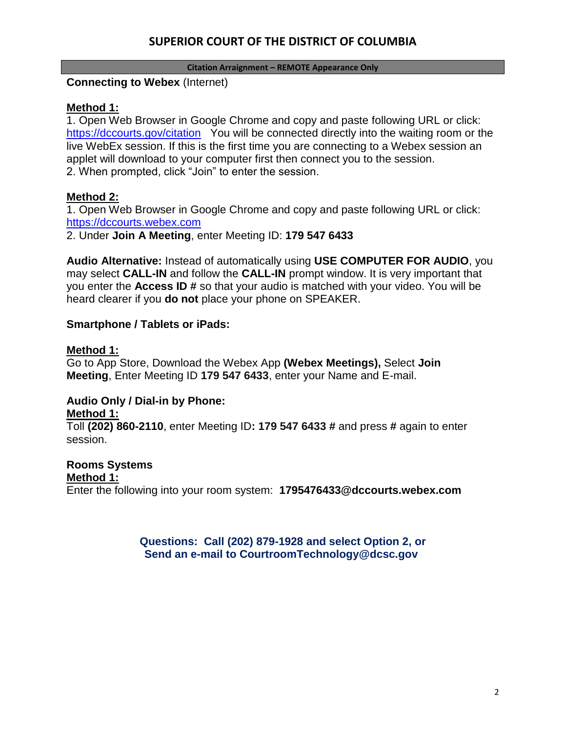# **SUPERIOR COURT OF THE DISTRICT OF COLUMBIA**

### **Citation Arraignment – REMOTE Appearance Only**

### **Connecting to Webex** (Internet)

### **Method 1:**

1. Open Web Browser in Google Chrome and copy and paste following URL or click: <https://dccourts.gov/citation> You will be connected directly into the waiting room or the live WebEx session. If this is the first time you are connecting to a Webex session an applet will download to your computer first then connect you to the session. 2. When prompted, click "Join" to enter the session.

## **Method 2:**

1. Open Web Browser in Google Chrome and copy and paste following URL or click: [https://dccourts.webex.com](https://dccourts.webex.com/)

2. Under **Join A Meeting**, enter Meeting ID: **179 547 6433**

**Audio Alternative:** Instead of automatically using **USE COMPUTER FOR AUDIO**, you may select **CALL-IN** and follow the **CALL-IN** prompt window. It is very important that you enter the **Access ID #** so that your audio is matched with your video. You will be heard clearer if you **do not** place your phone on SPEAKER.

### **Smartphone / Tablets or iPads:**

### **Method 1:**

Go to App Store, Download the Webex App **(Webex Meetings),** Select **Join Meeting**, Enter Meeting ID **179 547 6433**, enter your Name and E-mail.

# **Audio Only / Dial-in by Phone:**

### **Method 1:**

Toll **(202) 860-2110**, enter Meeting ID**: 179 547 6433 #** and press **#** again to enter session.

# **Rooms Systems**

### **Method 1:**

Enter the following into your room system: **1795476433@dccourts.webex.com**

**Questions: Call (202) 879-1928 and select Option 2, or Send an e-mail to CourtroomTechnology@dcsc.gov**